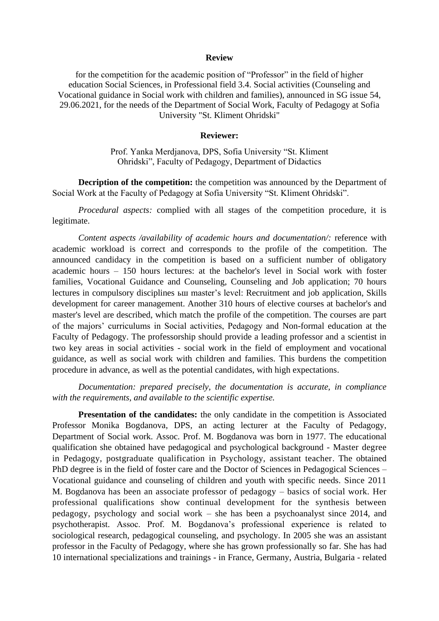#### **Review**

for the competition for the academic position of "Professor" in the field of higher education Social Sciences, in Professional field 3.4. Social activities (Counseling and Vocational guidance in Social work with children and families), announced in SG issue 54, 29.06.2021, for the needs of the Department of Social Work, Faculty of Pedagogy at Sofia University "St. Kliment Ohridski"

#### **Reviewer:**

Prof. Yanka Merdjanova, DPS, Sofia University "St. Kliment Ohridski", Faculty of Pedagogy, Department of Didactics

**Decription of the competition:** the competition was announced by the Department of Social Work at the Faculty of Pedagogy at Sofia University "St. Kliment Ohridski".

*Procedural aspects:* complied with all stages of the competition procedure, it is legitimate.

*Content aspects /availability of academic hours and documentation/:* reference with academic workload is correct and corresponds to the profile of the competition. The announced candidacy in the competition is based on a sufficient number of obligatory academic hours – 150 hours lectures: at the bachelor's level in Social work with foster families, Vocational Guidance and Counseling, Counseling and Job application; 70 hours lectures in compulsory disciplines ьш master's level: Recruitment and job application, Skills development for career management. Another 310 hours of elective courses at bachelor's and master's level are described, which match the profile of the competition. The courses are part of the majors' curriculums in Social activities, Pedagogy and Non-formal education at the Faculty of Pedagogy. The professorship should provide a leading professor and a scientist in two key areas in social activities - social work in the field of employment and vocational guidance, as well as social work with children and families. This burdens the competition procedure in advance, as well as the potential candidates, with high expectations.

*Documentation: prepared precisely, the documentation is accurate, in compliance with the requirements, and available to the scientific expertise.* 

**Presentation of the candidates:** the only candidate in the competition is Associated Professor Monika Bogdanova, DPS, an acting lecturer at the Faculty of Pedagogy, Department of Social work. Assoc. Prof. M. Bogdanova was born in 1977. The educational qualification she obtained have pedagogical and psychological background - Master degree in Pedagogy, postgraduate qualification in Psychology, assistant teacher. The obtained PhD degree is in the field of foster care and the Doctor of Sciences in Pedagogical Sciences – Vocational guidance and counseling of children and youth with specific needs. Since 2011 M. Bogdanova has been an associate professor of pedagogy – basics of social work. Her professional qualifications show continual development for the synthesis between pedagogy, psychology and social work – she has been a psychoanalyst since 2014, and psychotherapist. Assoc. Prof. M. Bogdanova's professional experience is related to sociological research, pedagogical counseling, and psychology. In 2005 she was an assistant professor in the Faculty of Pedagogy, where she has grown professionally so far. She has had 10 international specializations and trainings - in France, Germany, Austria, Bulgaria - related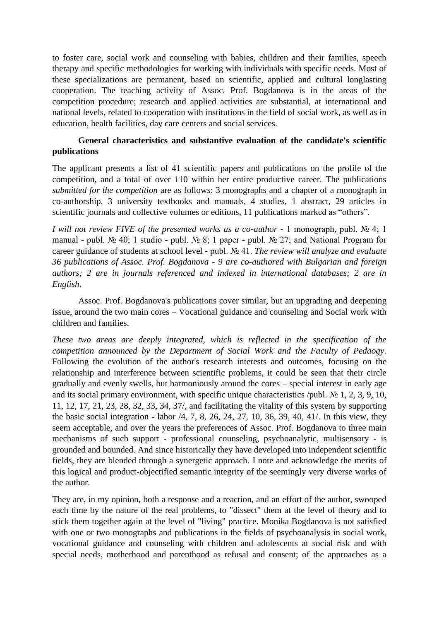to foster care, social work and counseling with babies, children and their families, speech therapy and specific methodologies for working with individuals with specific needs. Most of these specializations are permanent, based on scientific, applied and cultural longlasting cooperation. The teaching activity of Assoc. Prof. Bogdanova is in the areas of the competition procedure; research and applied activities are substantial, at international and national levels, related to cooperation with institutions in the field of social work, as well as in education, health facilities, day care centers and social services.

# **General characteristics and substantive evaluation of the candidate's scientific publications**

The applicant presents a list of 41 scientific papers and publications on the profile of the competition, and a total of over 110 within her entire productive career. The publications *submitted for the competition* are as follows: 3 monographs and a chapter of a monograph in co-authorship, 3 university textbooks and manuals, 4 studies, 1 abstract, 29 articles in scientific journals and collective volumes or editions, 11 publications marked as "others".

*I will not review FIVE of the presented works as a co-author* - 1 monograph, publ. № 4; 1 manual - publ. № 40; 1 studio - publ. № 8; 1 paper - publ. № 27; and National Program for career guidance of students at school level - publ. № 41. *The review will analyze and evaluate 36 publications of Assoc. Prof. Bogdanova - 9 are co-authored with Bulgarian and foreign authors; 2 are in journals referenced and indexed in international databases; 2 are in English.*

Assoc. Prof. Bogdanova's publications cover similar, but an upgrading and deepening issue, around the two main cores – Vocational guidance and counseling and Social work with children and families.

*These two areas are deeply integrated, which is reflected in the specification of the competition announced by the Department of Social Work and the Faculty of Pedaogy.* Following the evolution of the author's research interests and outcomes, focusing on the relationship and interference between scientific problems, it could be seen that their circle gradually and evenly swells, but harmoniously around the cores – special interest in early age and its social primary environment, with specific unique characteristics /publ.  $\mathbb{N}$  1, 2, 3, 9, 10, 11, 12, 17, 21, 23, 28, 32, 33, 34, 37/, and facilitating the vitality of this system by supporting the basic social integration - labor /4, 7, 8, 26, 24, 27, 10, 36, 39, 40, 41/. In this view, they seem acceptable, and over the years the preferences of Assoc. Prof. Bogdanova to three main mechanisms of such support - professional counseling, psychoanalytic, multisensory - is grounded and bounded. And since historically they have developed into independent scientific fields, they are blended through a synergetic approach. I note and acknowledge the merits of this logical and product-objectified semantic integrity of the seemingly very diverse works of the author.

They are, in my opinion, both a response and a reaction, and an effort of the author, swooped each time by the nature of the real problems, to "dissect" them at the level of theory and to stick them together again at the level of "living" practice. Monika Bogdanova is not satisfied with one or two monographs and publications in the fields of psychoanalysis in social work, vocational guidance and counseling with children and adolescents at social risk and with special needs, motherhood and parenthood as refusal and consent; of the approaches as a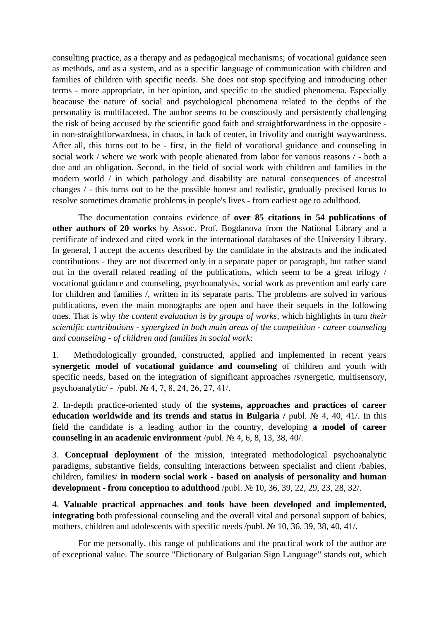consulting practice, as a therapy and as pedagogical mechanisms; of vocational guidance seen as methods, and as a system, and as a specific language of communication with children and families of children with specific needs. She does not stop specifying and introducing other terms - more appropriate, in her opinion, and specific to the studied phenomena. Especially beacause the nature of social and psychological phenomena related to the depths of the personality is multifaceted. The author seems to be consciously and persistently challenging the risk of being accused by the scientific good faith and straightforwardness in the opposite in non-straightforwardness, in chaos, in lack of center, in frivolity and outright waywardness. After all, this turns out to be - first, in the field of vocational guidance and counseling in social work / where we work with people alienated from labor for various reasons / - both a due and an obligation. Second, in the field of social work with children and families in the modern world / in which pathology and disability are natural consequences of ancestral changes / - this turns out to be the possible honest and realistic, gradually precised focus to resolve sometimes dramatic problems in people's lives - from earliest age to adulthood.

The documentation contains evidence of **over 85 citations in 54 publications of other authors of 20 works** by Assoc. Prof. Bogdanova from the National Library and a certificate of indexed and cited work in the international databases of the University Library. In general, I accept the accents described by the candidate in the abstracts and the indicated contributions - they are not discerned only in a separate paper or paragraph, but rather stand out in the overall related reading of the publications, which seem to be a great trilogy / vocational guidance and counseling, psychoanalysis, social work as prevention and early care for children and families /, written in its separate parts. The problems are solved in various publications, even the main monographs are open and have their sequels in the following ones. That is why *the content evaluation is by groups of works*, which highlights in turn *their scientific contributions - synergized in both main areas of the competition - career counseling and counseling - of children and families in social work*:

1. Methodologically grounded, constructed, applied and implemented in recent years **synergetic model of vocational guidance and counseling** of children and youth with specific needs, based on the integration of significant approaches /synergetic, multisensory, psychoanalytic/ - /publ. № 4, 7, 8, 24, 26, 27, 41/.

2. In-depth practice-oriented study of the **systems, approaches and practices of career education worldwide and its trends and status in Bulgaria /** publ. № 4, 40, 41/. In this field the candidate is a leading author in the country, developing **a model of career counseling in an academic environment** /publ. № 4, 6, 8, 13, 38, 40/.

3. **Conceptual deployment** of the mission, integrated methodological psychoanalytic paradigms, substantive fields, consulting interactions between specialist and client /babies, children, families/ **in modern social work - based on analysis of personality and human development - from conception to adulthood** /publ. № 10, 36, 39, 22, 29, 23, 28, 32/.

4. **Valuable practical approaches and tools have been developed and implemented, integrating** both professional counseling and the overall vital and personal support of babies, mothers, children and adolescents with specific needs /publ. № 10, 36, 39, 38, 40, 41/.

For me personally, this range of publications and the practical work of the author are of exceptional value. The source "Dictionary of Bulgarian Sign Language" stands out, which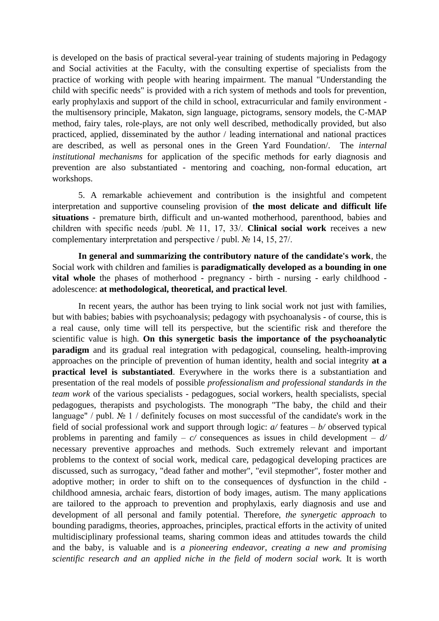is developed on the basis of practical several-year training of students majoring in Pedagogy and Social activities at the Faculty, with the consulting expertise of specialists from the practice of working with people with hearing impairment. The manual "Understanding the child with specific needs" is provided with a rich system of methods and tools for prevention, early prophylaxis and support of the child in school, extracurricular and family environment the multisensory principle, Makaton, sign language, pictograms, sensory models, the C-MAP method, fairy tales, role-plays, are not only well described, methodically provided, but also practiced, applied, disseminated by the author / leading international and national practices are described, as well as personal ones in the Green Yard Foundation/. The *internal institutional mechanisms* for application of the specific methods for early diagnosis and prevention are also substantiated - mentoring and coaching, non-formal education, art workshops.

5. A remarkable achievement and contribution is the insightful and competent interpretation and supportive counseling provision of **the most delicate and difficult life situations** - premature birth, difficult and un-wanted motherhood, parenthood, babies and children with specific needs /publ. № 11, 17, 33/. **Clinical social work** receives a new complementary interpretation and perspective / publ. № 14, 15, 27/.

**In general and summarizing the contributory nature of the candidate's work**, the Social work with children and families is **paradigmatically developed as a bounding in one vital whole** the phases of motherhood - pregnancy - birth - nursing - early childhood adolescence: **at methodological, theoretical, and practical level**.

In recent years, the author has been trying to link social work not just with families, but with babies; babies with psychoanalysis; pedagogy with psychoanalysis - of course, this is a real cause, only time will tell its perspective, but the scientific risk and therefore the scientific value is high. **On this synergetic basis the importance of the psychoanalytic paradigm** and its gradual real integration with pedagogical, counseling, health-improving approaches on the principle of prevention of human identity, health and social integrity **at a practical level is substantiated**. Everywhere in the works there is a substantiation and presentation of the real models of possible *professionalism and professional standards in the team work* of the various specialists - pedagogues, social workers, health specialists, special pedagogues, therapists and psychologists. The monograph "The baby, the child and their language" / publ. № 1 / definitely focuses on most successful of the candidate's work in the field of social professional work and support through logic: *a/* features – *b/* observed typical problems in parenting and family –  $c/$  consequences as issues in child development –  $d/$ necessary preventive approaches and methods. Such extremely relevant and important problems to the context of social work, medical care, pedagogical developing practices are discussed, such as surrogacy, "dead father and mother", "evil stepmother", foster mother and adoptive mother; in order to shift on to the consequences of dysfunction in the child childhood amnesia, archaic fears, distortion of body images, autism. The many applications are tailored to the approach to prevention and prophylaxis, early diagnosis and use and development of all personal and family potential. Therefore, *the synergetic approach* to bounding paradigms, theories, approaches, principles, practical efforts in the activity of united multidisciplinary professional teams, sharing common ideas and attitudes towards the child and the baby, is valuable and is *a pioneering endeavor, creating a new and promising scientific research and an applied niche in the field of modern social work.* It is worth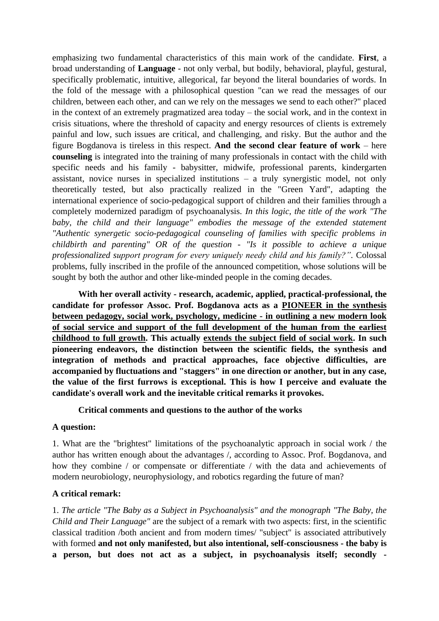emphasizing two fundamental characteristics of this main work of the candidate. **First**, a broad understanding of **Language** - not only verbal, but bodily, behavioral, playful, gestural, specifically problematic, intuitive, allegorical, far beyond the literal boundaries of words. In the fold of the message with a philosophical question "can we read the messages of our children, between each other, and can we rely on the messages we send to each other?" placed in the context of an extremely pragmatized area today – the social work, and in the context in crisis situations, where the threshold of capacity and energy resources of clients is extremely painful and low, such issues are critical, and challenging, and risky. But the author and the figure Bogdanova is tireless in this respect. **And the second clear feature of work** – here **counseling** is integrated into the training of many professionals in contact with the child with specific needs and his family - babysitter, midwife, professional parents, kindergarten assistant, novice nurses in specialized institutions – a truly synergistic model, not only theoretically tested, but also practically realized in the "Green Yard", adapting the international experience of socio-pedagogical support of children and their families through a completely modernized paradigm of psychoanalysis. *In this logic, the title of the work "The*  baby, the child and their language" embodies the message of the extended statement *"Authentic synergetic socio-pedagogical counseling of families with specific problems in childbirth and parenting" OR of the question - "Is it possible to achieve a unique professionalized support program for every uniquely needy child and his family?".* Colossal problems, fully inscribed in the profile of the announced competition, whose solutions will be sought by both the author and other like-minded people in the coming decades.

**With her overall activity - research, academic, applied, practical-professional, the candidate for professor Assoc. Prof. Bogdanova acts as a PIONEER in the synthesis between pedagogy, social work, psychology, medicine - in outlining a new modern look of social service and support of the full development of the human from the earliest childhood to full growth. This actually extends the subject field of social work. In such pioneering endeavors, the distinction between the scientific fields, the synthesis and integration of methods and practical approaches, face objective difficulties, are accompanied by fluctuations and "staggers" in one direction or another, but in any case, the value of the first furrows is exceptional. This is how I perceive and evaluate the candidate's overall work and the inevitable critical remarks it provokes.**

## **Critical comments and questions to the author of the works**

#### **A question:**

1. What are the "brightest" limitations of the psychoanalytic approach in social work / the author has written enough about the advantages /, according to Assoc. Prof. Bogdanova, and how they combine / or compensate or differentiate / with the data and achievements of modern neurobiology, neurophysiology, and robotics regarding the future of man?

## **A critical remark:**

1. *The article "The Baby as a Subject in Psychoanalysis" and the monograph "The Baby, the Child and Their Language"* are the subject of a remark with two aspects: first, in the scientific classical tradition /both ancient and from modern times/ "subject" is associated attributively with formed **and not only manifested, but also intentional, self-consciousness - the baby is a person, but does not act as a subject, in psychoanalysis itself; secondly -**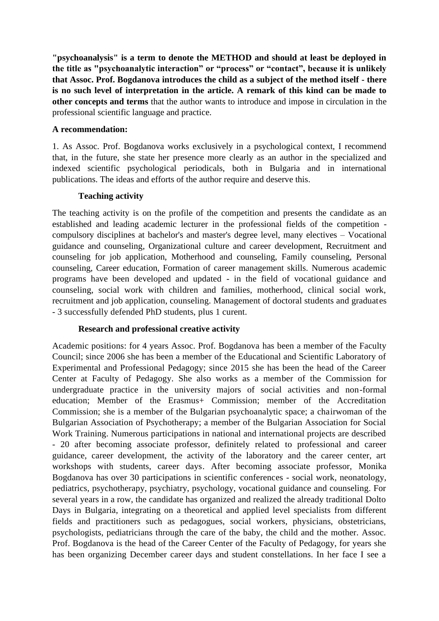**"psychoanalysis" is a term to denote the METHOD and should at least be deployed in the title as "psychoanalytic interaction" or "process" or "contact", because it is unlikely that Assoc. Prof. Bogdanova introduces the child as a subject of the method itself - there is no such level of interpretation in the article. A remark of this kind can be made to other concepts and terms** that the author wants to introduce and impose in circulation in the professional scientific language and practice.

### **A recommendation:**

1. As Assoc. Prof. Bogdanova works exclusively in a psychological context, I recommend that, in the future, she state her presence more clearly as an author in the specialized and indexed scientific psychological periodicals, both in Bulgaria and in international publications. The ideas and efforts of the author require and deserve this.

### **Teaching activity**

The teaching activity is on the profile of the competition and presents the candidate as an established and leading academic lecturer in the professional fields of the competition compulsory disciplines at bachelor's and master's degree level, many electives – Vocational guidance and counseling, Organizational culture and career development, Recruitment and counseling for job application, Motherhood and counseling, Family counseling, Personal counseling, Career education, Formation of career management skills. Numerous academic programs have been developed and updated - in the field of vocational guidance and counseling, social work with children and families, motherhood, clinical social work, recruitment and job application, counseling. Management of doctoral students and graduates - 3 successfully defended PhD students, plus 1 curent.

## **Research and professional creative activity**

Academic positions: for 4 years Assoc. Prof. Bogdanova has been a member of the Faculty Council; since 2006 she has been a member of the Educational and Scientific Laboratory of Experimental and Professional Pedagogy; since 2015 she has been the head of the Career Center at Faculty of Pedagogy. She also works as a member of the Commission for undergraduate practice in the university majors of social activities and non-formal education; Member of the Erasmus+ Commission; member of the Accreditation Commission; she is a member of the Bulgarian psychoanalytic space; a chairwoman of the Bulgarian Association of Psychotherapy; a member of the Bulgarian Association for Social Work Training. Numerous participations in national and international projects are described - 20 after becoming associate professor, definitely related to professional and career guidance, career development, the activity of the laboratory and the career center, art workshops with students, career days. After becoming associate professor, Monika Bogdanova has over 30 participations in scientific conferences - social work, neonatology, pediatrics, psychotherapy, psychiatry, psychology, vocational guidance and counseling. For several years in a row, the candidate has organized and realized the already traditional Dolto Days in Bulgaria, integrating on a theoretical and applied level specialists from different fields and practitioners such as pedagogues, social workers, physicians, obstetricians, psychologists, pediatricians through the care of the baby, the child and the mother. Assoc. Prof. Bogdanova is the head of the Career Center of the Faculty of Pedagogy, for years she has been organizing December career days and student constellations. In her face I see a